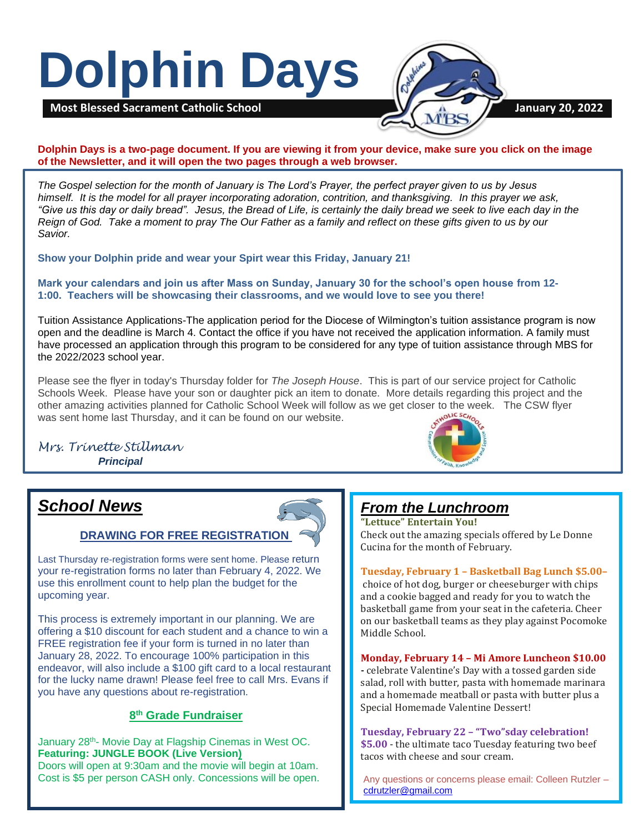# **Dolphin Days**



## **Dolphin Days is a two-page document. If you are viewing it from your device, make sure you click on the image of the Newsletter, and it will open the two pages through a web browser.**

*The Gospel selection for the month of January is The Lord's Prayer, the perfect prayer given to us by Jesus himself. It is the model for all prayer incorporating adoration, contrition, and thanksgiving. In this prayer we ask, "Give us this day or daily bread". Jesus, the Bread of Life, is certainly the daily bread we seek to live each day in the Reign of God. Take a moment to pray The Our Father as a family and reflect on these gifts given to us by our Savior.*

**Show your Dolphin pride and wear your Spirt wear this Friday, January 21!**

**Mark your calendars and join us after Mass on Sunday, January 30 for the school's open house from 12- 1:00. Teachers will be showcasing their classrooms, and we would love to see you there!** 

Tuition Assistance Applications-The application period for the Diocese of Wilmington's tuition assistance program is now open and the deadline is March 4. Contact the office if you have not received the application information. A family must have processed an application through this program to be considered for any type of tuition assistance through MBS for the 2022/2023 school year.

Please see the flyer in today's Thursday folder for *The Joseph House*. This is part of our service project for Catholic Schools Week. Please have your son or daughter pick an item to donate. More details regarding this project and the other amazing activities planned for Catholic School Week will follow as we get closer to the week. The CSW flyer was sent home last Thursday, and it can be found on our website.

## *Mrs. Trinette Stillman Principal*



## *School News*

## **DRAWING FOR FREE REGISTRATION**

Last Thursday re-registration forms were sent home. Please return your re-registration forms no later than February 4, 2022. We use this enrollment count to help plan the budget for the upcoming year.

This process is extremely important in our planning. We are offering a \$10 discount for each student and a chance to win a FREE registration fee if your form is turned in no later than January 28, 2022. To encourage 100% participation in this endeavor, will also include a \$100 gift card to a local restaurant for the lucky name drawn! Please feel free to call Mrs. Evans if you have any questions about re-registration.

## **8 th Grade Fundraiser**

January 28th- Movie Day at Flagship Cinemas in West OC. **Featuring: JUNGLE BOOK (Live Version)** Doors will open at 9:30am and the movie will begin at 10am. Cost is \$5 per person CASH only. Concessions will be open.

## *From the Lunchroom*

**"Lettuce" Entertain You!** Check out the amazing specials offered by Le Donne Cucina for the month of February.

**Tuesday, February 1 – Basketball Bag Lunch \$5.00–** choice of hot dog, burger or cheeseburger with chips and a cookie bagged and ready for you to watch the basketball game from your seat in the cafeteria. Cheer on our basketball teams as they play against Pocomoke Middle School.

**Monday, February 14 – Mi Amore Luncheon \$10.00 -** celebrate Valentine's Day with a tossed garden side salad, roll with butter, pasta with homemade marinara and a homemade meatball or pasta with butter plus a Special Homemade Valentine Dessert!

**Tuesday, February 22 – "Two"sday celebration! \$5.00** - the ultimate taco Tuesday featuring two beef tacos with cheese and sour cream.

Any questions or concerns please email: Colleen Rutzler – [cdrutzler@gmail.com](mailto:cdrutzler@gmail.com)